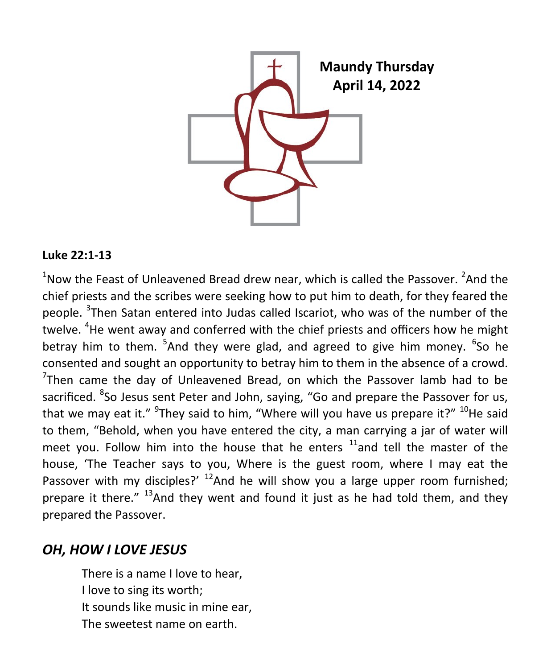

#### **Luke 22:1-13**

 $^{1}$ Now the Feast of Unleavened Bread drew near, which is called the Passover.  $^{2}$ And the chief priests and the scribes were seeking how to put him to death, for they feared the people. <sup>3</sup>Then Satan entered into Judas called Iscariot, who was of the number of the twelve. <sup>4</sup>He went away and conferred with the chief priests and officers how he might betray him to them. <sup>5</sup>And they were glad, and agreed to give him money. <sup>6</sup>So he consented and sought an opportunity to betray him to them in the absence of a crowd.  $7$ Then came the day of Unleavened Bread, on which the Passover lamb had to be sacrificed. <sup>8</sup>So Jesus sent Peter and John, saying, "Go and prepare the Passover for us, that we may eat it." <sup>9</sup>They said to him, "Where will you have us prepare it?" <sup>10</sup>He said to them, "Behold, when you have entered the city, a man carrying a jar of water will meet you. Follow him into the house that he enters  $11$  and tell the master of the house, 'The Teacher says to you, Where is the guest room, where I may eat the Passover with my disciples?'  $^{12}$ And he will show you a large upper room furnished; prepare it there."  $^{13}$ And they went and found it just as he had told them, and they prepared the Passover.

## *OH, HOW I LOVE JESUS*

There is a name I love to hear, I love to sing its worth; It sounds like music in mine ear, The sweetest name on earth.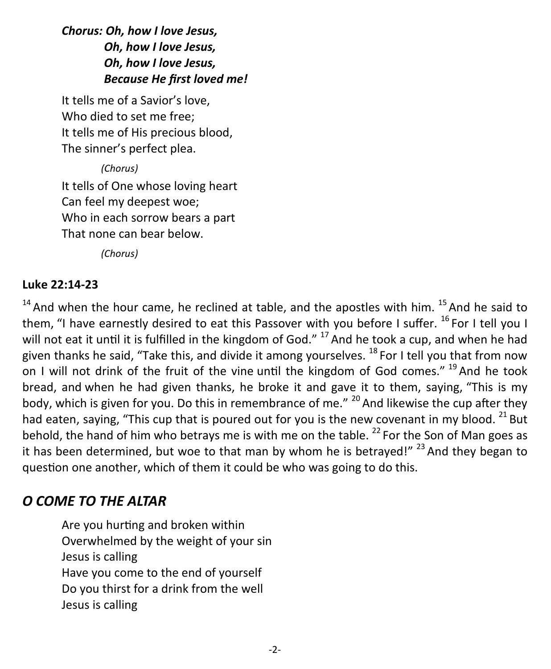## *Chorus: Oh, how I love Jesus, Oh, how I love Jesus, Oh, how I love Jesus, Because He first loved me!*

It tells me of a Savior's love, Who died to set me free; It tells me of His precious blood, The sinner's perfect plea.

*(Chorus)* It tells of One whose loving heart Can feel my deepest woe; Who in each sorrow bears a part That none can bear below.

*(Chorus)*

## **Luke 22:14-23**

 $14$  And when the hour came, he reclined at table, and the apostles with him.  $15$  And he said to them, "I have earnestly desired to eat this Passover with you before I suffer.  $^{16}$  For I tell you I will not eat it until it is fulfilled in the kingdom of God." <sup>17</sup> And he took a cup, and when he had given thanks he said, "Take this, and divide it among yourselves.  $^{18}$  For I tell you that from now on I will not drink of the fruit of the vine until the kingdom of God comes." <sup>19</sup> And he took bread, and when he had given thanks, he broke it and gave it to them, saying, "This is my body, which is given for you. Do this in remembrance of me." <sup>20</sup> And likewise the cup after they had eaten, saying, "This cup that is poured out for you is the new covenant in my blood.  $^{21}$  But behold, the hand of him who betrays me is with me on the table.  $^{22}$  For the Son of Man goes as it has been determined, but woe to that man by whom he is betrayed!"  $^{23}$  And they began to question one another, which of them it could be who was going to do this.

# *O COME TO THE ALTAR*

Are you hurting and broken within Overwhelmed by the weight of your sin Jesus is calling Have you come to the end of yourself Do you thirst for a drink from the well Jesus is calling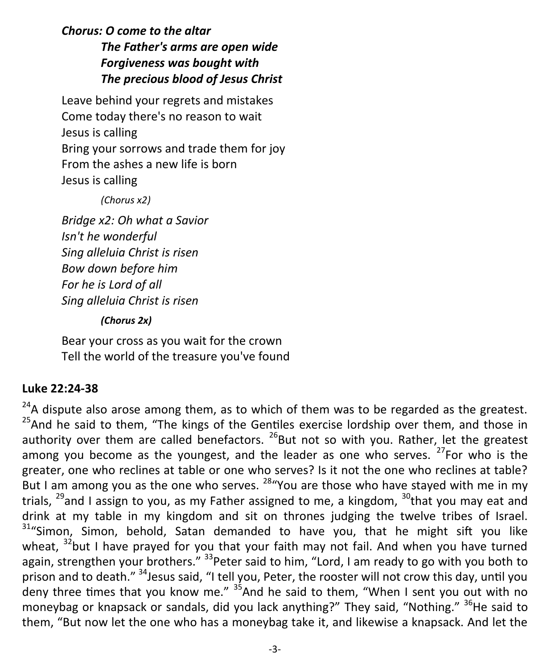## *Chorus: O come to the altar The Father's arms are open wide Forgiveness was bought with The precious blood of Jesus Christ*

Leave behind your regrets and mistakes Come today there's no reason to wait Jesus is calling Bring your sorrows and trade them for joy From the ashes a new life is born Jesus is calling

*(Chorus x2)*

*Bridge x2: Oh what a Savior Isn't he wonderful Sing alleluia Christ is risen Bow down before him For he is Lord of all Sing alleluia Christ is risen*

*(Chorus 2x)*

Bear your cross as you wait for the crown Tell the world of the treasure you've found

## **Luke 22:24-38**

 $24A$  dispute also arose among them, as to which of them was to be regarded as the greatest. <sup>25</sup>And he said to them, "The kings of the Gentiles exercise lordship over them, and those in authority over them are called benefactors.  $^{26}$ But not so with you. Rather, let the greatest among you become as the youngest, and the leader as one who serves.  $27$  For who is the greater, one who reclines at table or one who serves? Is it not the one who reclines at table? But I am among you as the one who serves.  $^{28}$  You are those who have stayed with me in my trials,  $^{29}$  and I assign to you, as my Father assigned to me, a kingdom,  $^{30}$ that you may eat and drink at my table in my kingdom and sit on thrones judging the twelve tribes of Israel.  $31\%$ Simon, Simon, behold, Satan demanded to have you, that he might sift you like wheat,  $32$  but I have prayed for you that your faith may not fail. And when you have turned again, strengthen your brothers."  $33$ Peter said to him, "Lord, I am ready to go with you both to prison and to death." <sup>34</sup> Jesus said, "I tell you, Peter, the rooster will not crow this day, until you deny three times that you know me."  $35$  And he said to them, "When I sent you out with no moneybag or knapsack or sandals, did you lack anything?" They said, "Nothing."  $36$ He said to them, "But now let the one who has a moneybag take it, and likewise a knapsack. And let the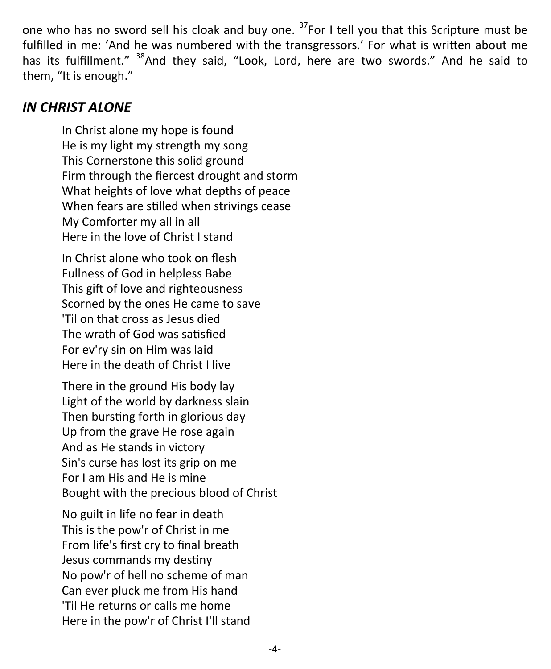one who has no sword sell his cloak and buy one.  $37$  For I tell you that this Scripture must be fulfilled in me: 'And he was numbered with the transgressors.' For what is written about me has its fulfillment." <sup>38</sup>And they said, "Look, Lord, here are two swords." And he said to them, "It is enough."

## *IN CHRIST ALONE*

In Christ alone my hope is found He is my light my strength my song This Cornerstone this solid ground Firm through the fiercest drought and storm What heights of love what depths of peace When fears are stilled when strivings cease My Comforter my all in all Here in the love of Christ I stand

In Christ alone who took on flesh Fullness of God in helpless Babe This gift of love and righteousness Scorned by the ones He came to save 'Til on that cross as Jesus died The wrath of God was satisfied For ev'ry sin on Him was laid Here in the death of Christ I live

There in the ground His body lay Light of the world by darkness slain Then bursting forth in glorious day Up from the grave He rose again And as He stands in victory Sin's curse has lost its grip on me For I am His and He is mine Bought with the precious blood of Christ

No guilt in life no fear in death This is the pow'r of Christ in me From life's first cry to final breath Jesus commands my destiny No pow'r of hell no scheme of man Can ever pluck me from His hand 'Til He returns or calls me home Here in the pow'r of Christ I'll stand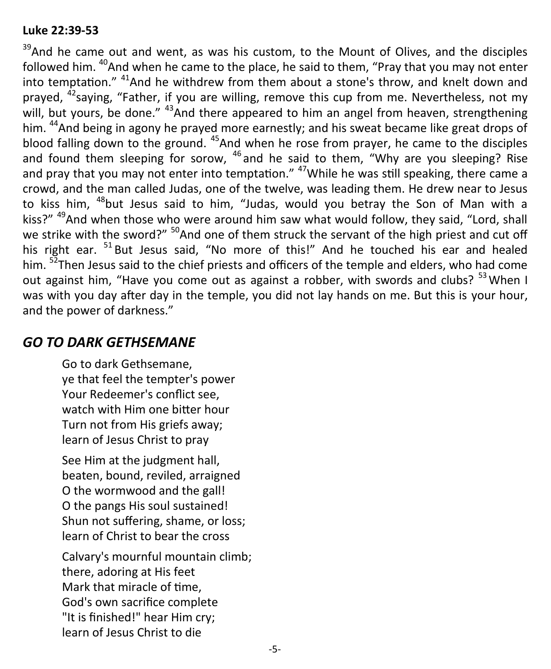#### **Luke 22:39-53**

 $39$ And he came out and went, as was his custom, to the Mount of Olives, and the disciples followed him. <sup>40</sup>And when he came to the place, he said to them, "Pray that you may not enter into temptation."  $41$ And he withdrew from them about a stone's throw, and knelt down and prayed,  $42$  saying, "Father, if you are willing, remove this cup from me. Nevertheless, not my will, but yours, be done." <sup>43</sup>And there appeared to him an angel from heaven, strengthening him. <sup>44</sup>And being in agony he prayed more earnestly; and his sweat became like great drops of blood falling down to the ground. <sup>45</sup>And when he rose from prayer, he came to the disciples and found them sleeping for sorow,  $46$  and he said to them, "Why are you sleeping? Rise and pray that you may not enter into temptation." <sup>47</sup>While he was still speaking, there came a crowd, and the man called Judas, one of the twelve, was leading them. He drew near to Jesus to kiss him, <sup>48</sup>but Jesus said to him, "Judas, would you betray the Son of Man with a kiss?" <sup>49</sup>And when those who were around him saw what would follow, they said, "Lord, shall we strike with the sword?" <sup>50</sup>And one of them struck the servant of the high priest and cut off his right ear. <sup>51</sup> But Jesus said, "No more of this!" And he touched his ear and healed him. <sup>52</sup>Then Jesus said to the chief priests and officers of the temple and elders, who had come out against him, "Have you come out as against a robber, with swords and clubs?  $53$  When I was with you day after day in the temple, you did not lay hands on me. But this is your hour, and the power of darkness."

## *GO TO DARK GETHSEMANE*

Go to dark Gethsemane, ye that feel the tempter's power Your Redeemer's conflict see, watch with Him one bitter hour Turn not from His griefs away; learn of Jesus Christ to pray

See Him at the judgment hall, beaten, bound, reviled, arraigned O the wormwood and the gall! O the pangs His soul sustained! Shun not suffering, shame, or loss; learn of Christ to bear the cross

Calvary's mournful mountain climb; there, adoring at His feet Mark that miracle of time, God's own sacrifice complete "It is finished!" hear Him cry; learn of Jesus Christ to die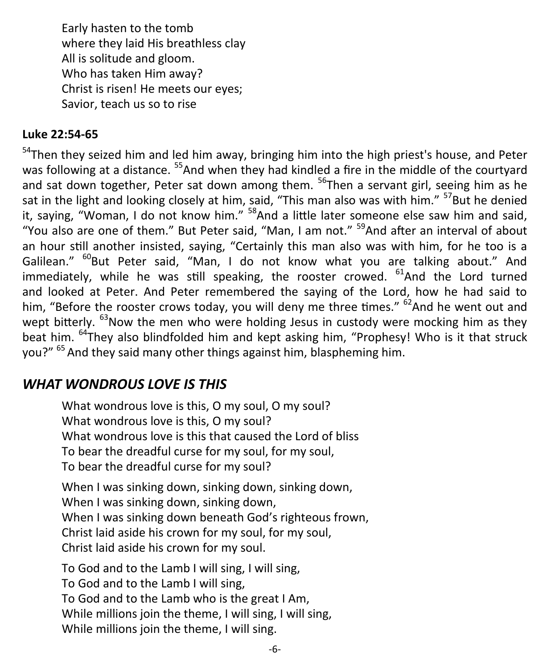Early hasten to the tomb where they laid His breathless clay All is solitude and gloom. Who has taken Him away? Christ is risen! He meets our eyes; Savior, teach us so to rise

#### **Luke 22:54-65**

 $54$ Then thev seized him and led him away, bringing him into the high priest's house, and Peter was following at a distance. <sup>55</sup>And when they had kindled a fire in the middle of the courtyard and sat down together, Peter sat down among them. <sup>56</sup>Then a servant girl, seeing him as he sat in the light and looking closely at him, said, "This man also was with him." <sup>57</sup>But he denied it, saying, "Woman, I do not know him."  $58$ And a little later someone else saw him and said, "You also are one of them." But Peter said, "Man, I am not."  $59$ And after an interval of about an hour still another insisted, saying, "Certainly this man also was with him, for he too is a Galilean." <sup>60</sup>But Peter said, "Man, I do not know what you are talking about." And immediately, while he was still speaking, the rooster crowed.  $61$ And the Lord turned and looked at Peter. And Peter remembered the saying of the Lord, how he had said to him, "Before the rooster crows today, you will deny me three times."  $62$ And he went out and wept bitterly.  $63$ Now the men who were holding Jesus in custody were mocking him as they beat him. <sup>64</sup>They also blindfolded him and kept asking him, "Prophesy! Who is it that struck you?" <sup>65</sup> And they said many other things against him, blaspheming him.

## *WHAT WONDROUS LOVE IS THIS*

What wondrous love is this, O my soul, O my soul? What wondrous love is this, O my soul? What wondrous love is this that caused the Lord of bliss To bear the dreadful curse for my soul, for my soul, To bear the dreadful curse for my soul?

When I was sinking down, sinking down, sinking down, When I was sinking down, sinking down, When I was sinking down beneath God's righteous frown, Christ laid aside his crown for my soul, for my soul, Christ laid aside his crown for my soul.

To God and to the Lamb I will sing, I will sing, To God and to the Lamb I will sing, To God and to the Lamb who is the great I Am, While millions join the theme, I will sing, I will sing, While millions join the theme, I will sing.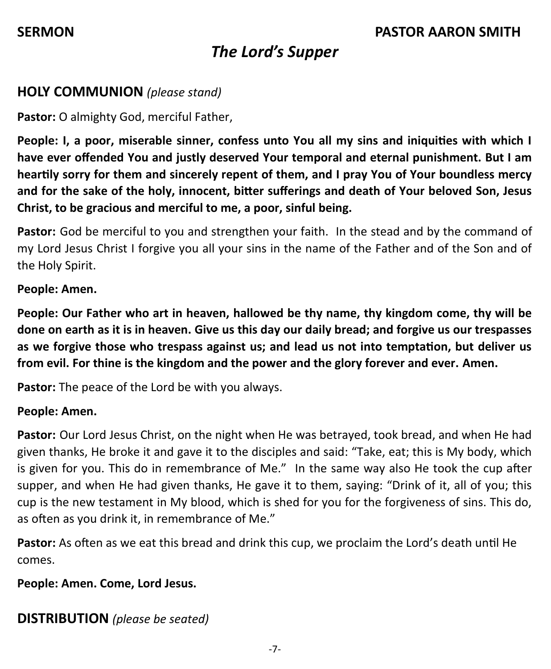# *The Lord's Supper*

## **HOLY COMMUNION** *(please stand)*

**Pastor:** O almighty God, merciful Father,

**People: I, a poor, miserable sinner, confess unto You all my sins and iniquities with which I have ever offended You and justly deserved Your temporal and eternal punishment. But I am heartily sorry for them and sincerely repent of them, and I pray You of Your boundless mercy and for the sake of the holy, innocent, bitter sufferings and death of Your beloved Son, Jesus Christ, to be gracious and merciful to me, a poor, sinful being.**

**Pastor:** God be merciful to you and strengthen your faith. In the stead and by the command of my Lord Jesus Christ I forgive you all your sins in the name of the Father and of the Son and of the Holy Spirit.

#### **People: Amen.**

**People: Our Father who art in heaven, hallowed be thy name, thy kingdom come, thy will be done on earth as it is in heaven. Give us this day our daily bread; and forgive us our trespasses as we forgive those who trespass against us; and lead us not into temptation, but deliver us from evil. For thine is the kingdom and the power and the glory forever and ever. Amen.**

**Pastor:** The peace of the Lord be with you always.

#### **People: Amen.**

Pastor: Our Lord Jesus Christ, on the night when He was betrayed, took bread, and when He had given thanks, He broke it and gave it to the disciples and said: "Take, eat; this is My body, which is given for you. This do in remembrance of Me." In the same way also He took the cup after supper, and when He had given thanks, He gave it to them, saying: "Drink of it, all of you; this cup is the new testament in My blood, which is shed for you for the forgiveness of sins. This do, as often as you drink it, in remembrance of Me."

**Pastor:** As often as we eat this bread and drink this cup, we proclaim the Lord's death until He comes.

#### **People: Amen. Come, Lord Jesus.**

# **DISTRIBUTION** *(please be seated)*